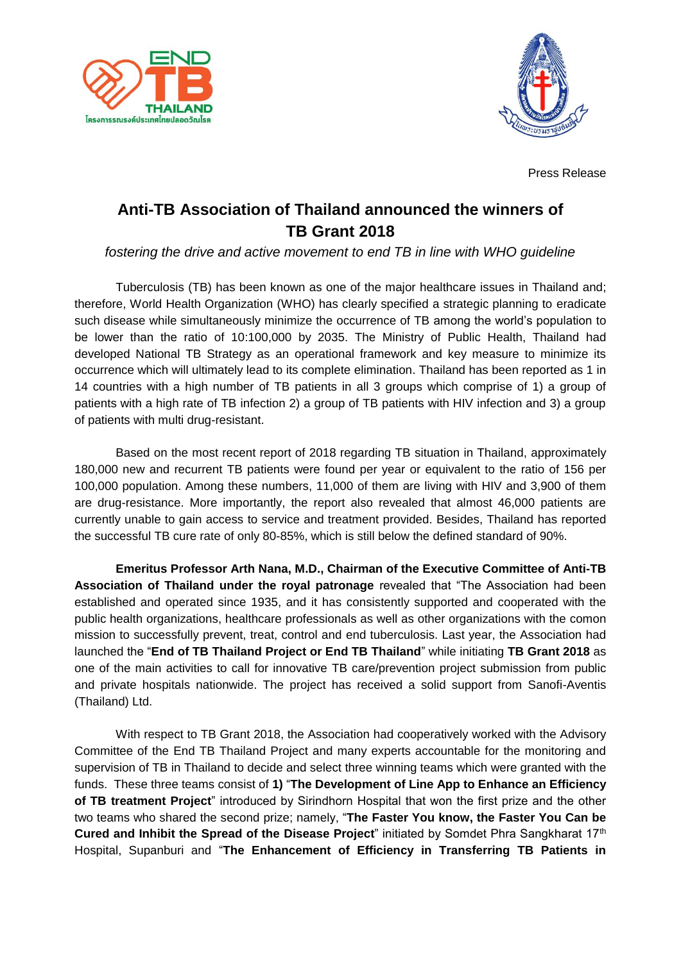



Press Release

## **Anti-TB Association of Thailand announced the winners of TB Grant 2018**

*fostering the drive and active movement to end TB in line with WHO guideline*

Tuberculosis (TB) has been known as one of the major healthcare issues in Thailand and; therefore, World Health Organization (WHO) has clearly specified a strategic planning to eradicate such disease while simultaneously minimize the occurrence of TB among the world's population to be lower than the ratio of 10:100,000 by 2035. The Ministry of Public Health, Thailand had developed National TB Strategy as an operational framework and key measure to minimize its occurrence which will ultimately lead to its complete elimination. Thailand has been reported as 1 in 14 countries with a high number of TB patients in all 3 groups which comprise of 1) a group of patients with a high rate of TB infection 2) a group of TB patients with HIV infection and 3) a group of patients with multi drug-resistant.

Based on the most recent report of 2018 regarding TB situation in Thailand, approximately 180,000 new and recurrent TB patients were found per year or equivalent to the ratio of 156 per 100,000 population. Among these numbers, 11,000 of them are living with HIV and 3,900 of them are drug-resistance. More importantly, the report also revealed that almost 46,000 patients are currently unable to gain access to service and treatment provided. Besides, Thailand has reported the successful TB cure rate of only 80-85%, which is still below the defined standard of 90%.

**Emeritus Professor Arth Nana, M.D., Chairman of the Executive Committee of Anti-TB Association of Thailand under the royal patronage** revealed that "The Association had been established and operated since 1935, and it has consistently supported and cooperated with the public health organizations, healthcare professionals as well as other organizations with the comon mission to successfully prevent, treat, control and end tuberculosis. Last year, the Association had launched the "**End of TB Thailand Project or End TB Thailand**" while initiating **TB Grant 2018** as one of the main activities to call for innovative TB care/prevention project submission from public and private hospitals nationwide. The project has received a solid support from Sanofi-Aventis (Thailand) Ltd.

With respect to TB Grant 2018, the Association had cooperatively worked with the Advisory Committee of the End TB Thailand Project and many experts accountable for the monitoring and supervision of TB in Thailand to decide and select three winning teams which were granted with the funds. These three teams consist of **1)** "**The Development of Line App to Enhance an Efficiency of TB treatment Project**" introduced by Sirindhorn Hospital that won the first prize and the other two teams who shared the second prize; namely, "**The Faster You know, the Faster You Can be Cured and Inhibit the Spread of the Disease Project**" initiated by Somdet Phra Sangkharat 17th Hospital, Supanburi and "**The Enhancement of Efficiency in Transferring TB Patients in**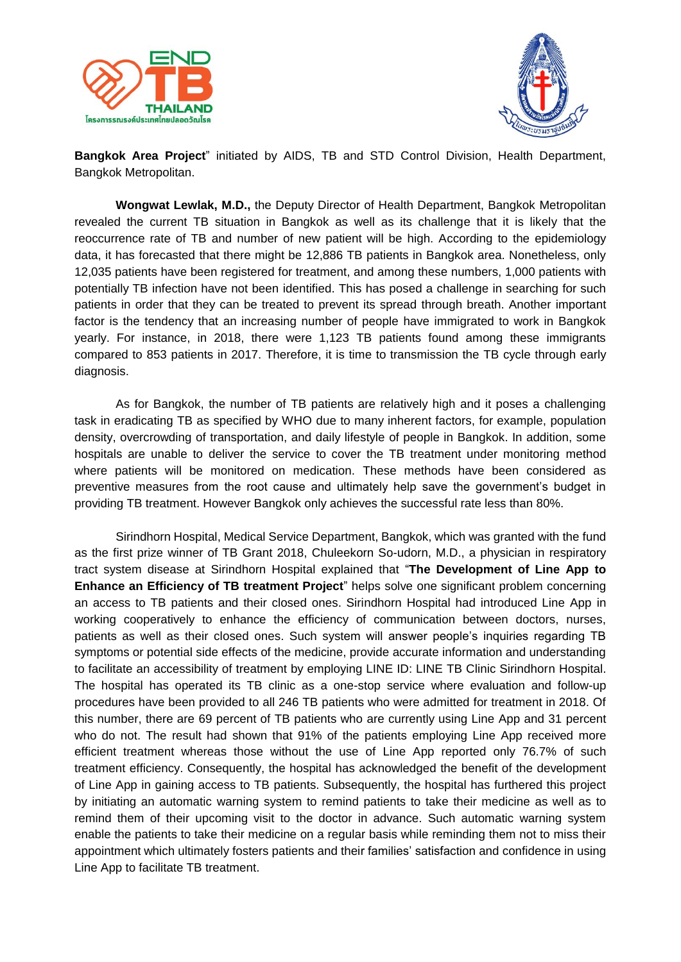



**Bangkok Area Project**" initiated by AIDS, TB and STD Control Division, Health Department, Bangkok Metropolitan.

**Wongwat Lewlak, M.D.,** the Deputy Director of Health Department, Bangkok Metropolitan revealed the current TB situation in Bangkok as well as its challenge that it is likely that the reoccurrence rate of TB and number of new patient will be high. According to the epidemiology data, it has forecasted that there might be 12,886 TB patients in Bangkok area. Nonetheless, only 12,035 patients have been registered for treatment, and among these numbers, 1,000 patients with potentially TB infection have not been identified. This has posed a challenge in searching for such patients in order that they can be treated to prevent its spread through breath. Another important factor is the tendency that an increasing number of people have immigrated to work in Bangkok yearly. For instance, in 2018, there were 1,123 TB patients found among these immigrants compared to 853 patients in 2017. Therefore, it is time to transmission the TB cycle through early diagnosis.

As for Bangkok, the number of TB patients are relatively high and it poses a challenging task in eradicating TB as specified by WHO due to many inherent factors, for example, population density, overcrowding of transportation, and daily lifestyle of people in Bangkok. In addition, some hospitals are unable to deliver the service to cover the TB treatment under monitoring method where patients will be monitored on medication. These methods have been considered as preventive measures from the root cause and ultimately help save the government's budget in providing TB treatment. However Bangkok only achieves the successful rate less than 80%.

Sirindhorn Hospital, Medical Service Department, Bangkok, which was granted with the fund as the first prize winner of TB Grant 2018, Chuleekorn So-udorn, M.D., a physician in respiratory tract system disease at Sirindhorn Hospital explained that "**The Development of Line App to Enhance an Efficiency of TB treatment Project**" helps solve one significant problem concerning an access to TB patients and their closed ones. Sirindhorn Hospital had introduced Line App in working cooperatively to enhance the efficiency of communication between doctors, nurses, patients as well as their closed ones. Such system will answer people's inquiries regarding TB symptoms or potential side effects of the medicine, provide accurate information and understanding to facilitate an accessibility of treatment by employing LINE ID: LINE TB Clinic Sirindhorn Hospital. The hospital has operated its TB clinic as a one-stop service where evaluation and follow-up procedures have been provided to all 246 TB patients who were admitted for treatment in 2018. Of this number, there are 69 percent of TB patients who are currently using Line App and 31 percent who do not. The result had shown that 91% of the patients employing Line App received more efficient treatment whereas those without the use of Line App reported only 76.7% of such treatment efficiency. Consequently, the hospital has acknowledged the benefit of the development of Line App in gaining access to TB patients. Subsequently, the hospital has furthered this project by initiating an automatic warning system to remind patients to take their medicine as well as to remind them of their upcoming visit to the doctor in advance. Such automatic warning system enable the patients to take their medicine on a regular basis while reminding them not to miss their appointment which ultimately fosters patients and their families' satisfaction and confidence in using Line App to facilitate TB treatment.